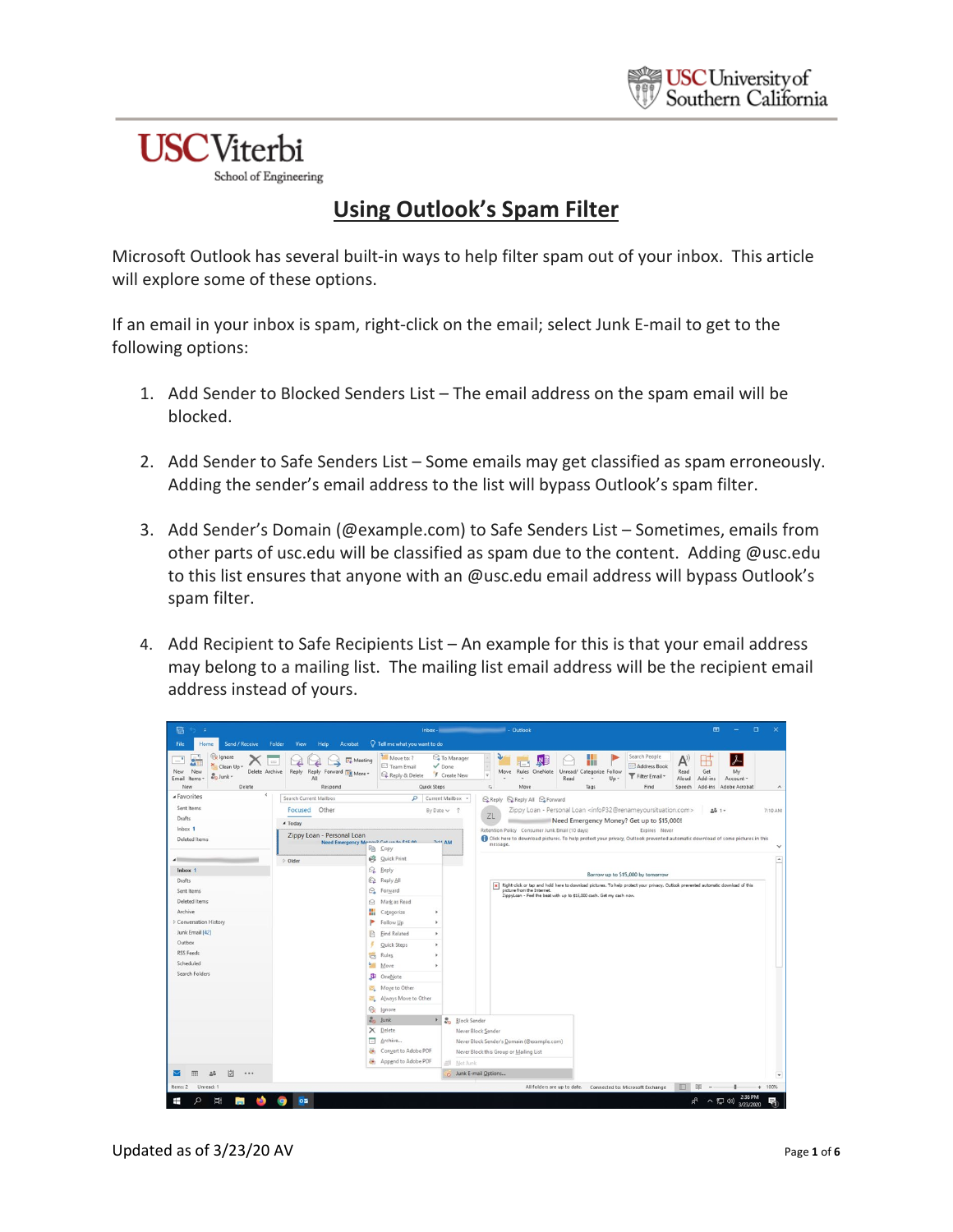## **USC**Viterbi

School of Engineering

## **Using Outlook's Spam Filter**

Microsoft Outlook has several built-in ways to help filter spam out of your inbox. This article will explore some of these options.

If an email in your inbox is spam, right-click on the email; select Junk E-mail to get to the following options:

- 1. Add Sender to Blocked Senders List The email address on the spam email will be blocked.
- 2. Add Sender to Safe Senders List Some emails may get classified as spam erroneously. Adding the sender's email address to the list will bypass Outlook's spam filter.
- 3. Add Sender's Domain (@example.com) to Safe Senders List Sometimes, emails from other parts of usc.edu will be classified as spam due to the content. Adding @usc.edu to this list ensures that anyone with an @usc.edu email address will bypass Outlook's spam filter.
- 4. Add Recipient to Safe Recipients List An example for this is that your email address may belong to a mailing list. The mailing list email address will be the recipient email address instead of yours.

| 區<br>÷                                                                                                                                                                                       |                                                                 | $\mathbf{E}$<br>$\Box$<br>Inbox - New York Street, Street Street, Street Street, Street Street Street Street Street Street Street Street                                                                                                                                                                                                                                   | $\times$            |
|----------------------------------------------------------------------------------------------------------------------------------------------------------------------------------------------|-----------------------------------------------------------------|----------------------------------------------------------------------------------------------------------------------------------------------------------------------------------------------------------------------------------------------------------------------------------------------------------------------------------------------------------------------------|---------------------|
| Send / Receive<br>Folder<br>View<br>Help<br>Acrobat<br>File<br>Home                                                                                                                          | Q Tell me what you want to do                                   |                                                                                                                                                                                                                                                                                                                                                                            |                     |
| <b>R</b> Ignore<br><b>Meeting</b><br>Clean Up -<br>Delete Archive<br>Reply Forward <b>Fill More</b><br>New<br>Reply<br>New<br>& Junk -<br>Email<br>Items -<br>ΔI<br>Delete<br>Respond<br>New | Move to: ?<br>Team Email<br>Reply & Delete<br>Quick Steps       | Search People<br>To Manager<br>$\lambda$<br>$\mathsf{A}^{\scriptscriptstyle\vee}$<br>Ŋ<br>₩<br>$\sqrt{Done}$<br>Address Book<br>Rules OneNote<br>Get<br>My<br>Move<br>Unread/<br>Categorize Follow<br>Read<br>F Create New<br>÷<br>Filter Email -<br>Read<br>Up -<br>Aloud<br>Add-ins<br>Account -<br>$\sim$<br>Move<br>Tags<br>Find<br>Add-ins<br>Adobe Acrobat<br>Speech | $\hat{\phantom{a}}$ |
| $\epsilon$<br><b>4 Favorites</b><br>Search Current Mailbox                                                                                                                                   | $\mathbf{Q}$                                                    | Current Mailbox +<br>Q Reply Q Reply All Q Forward                                                                                                                                                                                                                                                                                                                         |                     |
| Sent Items<br>Other<br>Focused                                                                                                                                                               |                                                                 | Zippy Loan - Personal Loan <infop32@renameyoursituation.com><br/>By Date <sub>v</sub><br/>28 1-</infop32@renameyoursituation.com>                                                                                                                                                                                                                                          | 7:10 AM             |
| <b>Drafts</b><br>4 Today                                                                                                                                                                     |                                                                 | ZL<br>Need Emergency Money? Get up to \$15,000!                                                                                                                                                                                                                                                                                                                            |                     |
| Inbox 1<br>Zippy Loan - Personal Loan                                                                                                                                                        |                                                                 | Retention Policy Consumer Junk Email (10 days)<br>Expires Never                                                                                                                                                                                                                                                                                                            |                     |
| <b>Deleted Items</b>                                                                                                                                                                         | Need Emergency Menand Cat un to fat on<br><b>Em</b> Copy        | Click here to download pictures. To help protect your privacy, Outlook prevented automatic download of some pictures in this<br><b>ZAA AM</b><br>message.                                                                                                                                                                                                                  |                     |
| D Older                                                                                                                                                                                      | <b>Quick Print</b>                                              |                                                                                                                                                                                                                                                                                                                                                                            |                     |
| Inbox 1                                                                                                                                                                                      | Q Reply                                                         |                                                                                                                                                                                                                                                                                                                                                                            |                     |
| Drafts                                                                                                                                                                                       | <b>Q</b> Reply All                                              | Borrow up to \$15,000 by tomorrow                                                                                                                                                                                                                                                                                                                                          |                     |
| Sent Items                                                                                                                                                                                   | G Forward                                                       | Right-click or tap and hold here to download pictures. To help protect your privacy, Outlook prevented automatic download of this<br>$\pmb{\times}$<br>picture from the Internet.<br>ZippyLoan - Feel the beat with up to \$15,000 cash. Get my cash now.                                                                                                                  |                     |
| Deleted Items                                                                                                                                                                                | A Mark as Read                                                  |                                                                                                                                                                                                                                                                                                                                                                            |                     |
| Archive                                                                                                                                                                                      | ₩<br>Categorize<br>$\,$                                         |                                                                                                                                                                                                                                                                                                                                                                            |                     |
| Conversation History                                                                                                                                                                         | P<br>Follow Up<br>×                                             |                                                                                                                                                                                                                                                                                                                                                                            |                     |
| Junk Email [42]                                                                                                                                                                              | <b>Find Related</b><br>×.<br>P                                  |                                                                                                                                                                                                                                                                                                                                                                            |                     |
| Outbox                                                                                                                                                                                       | <b>Quick Steps</b><br>$\,$                                      |                                                                                                                                                                                                                                                                                                                                                                            |                     |
| <b>RSS Feeds</b><br>Scheduled                                                                                                                                                                | Rules<br>$t_{\rm eff}$<br>$\,$                                  |                                                                                                                                                                                                                                                                                                                                                                            |                     |
| Search Folders                                                                                                                                                                               | Move<br>٠                                                       |                                                                                                                                                                                                                                                                                                                                                                            |                     |
|                                                                                                                                                                                              | NB<br>OneNote                                                   |                                                                                                                                                                                                                                                                                                                                                                            |                     |
|                                                                                                                                                                                              | Moye to Other                                                   |                                                                                                                                                                                                                                                                                                                                                                            |                     |
|                                                                                                                                                                                              | Always Move to Other                                            |                                                                                                                                                                                                                                                                                                                                                                            |                     |
|                                                                                                                                                                                              | <b>R</b> e Ignore<br>$26 \text{ Junk}$<br>$\blacktriangleright$ |                                                                                                                                                                                                                                                                                                                                                                            |                     |
|                                                                                                                                                                                              | X Delete                                                        | <b>&amp;</b> <sub>D</sub> Block Sender<br>Never Block Sender                                                                                                                                                                                                                                                                                                               |                     |
|                                                                                                                                                                                              | $\overline{a}$<br>Archive                                       | Never Block Sender's Domain (@example.com)                                                                                                                                                                                                                                                                                                                                 |                     |
|                                                                                                                                                                                              | Convert to Adobe PDF<br>ö6                                      | Never Block this Group or Mailing List                                                                                                                                                                                                                                                                                                                                     |                     |
|                                                                                                                                                                                              | Append to Adobe PDF                                             | Not Junk                                                                                                                                                                                                                                                                                                                                                                   |                     |
| M<br>                                                                                                                                                                                        |                                                                 | Junk E-mail Options                                                                                                                                                                                                                                                                                                                                                        |                     |
| Items: 2<br>Unread: 1                                                                                                                                                                        |                                                                 | All folders are up to date. Connected to: Microsoft Exchange                                                                                                                                                                                                                                                                                                               | 100%                |
| Ξi<br>0.51<br>$\Omega$<br>⊞<br>m.<br>GS.                                                                                                                                                     |                                                                 | 2:36 PM<br>$R^2$<br>へ 口 (4)<br>3/23/2020                                                                                                                                                                                                                                                                                                                                   | m                   |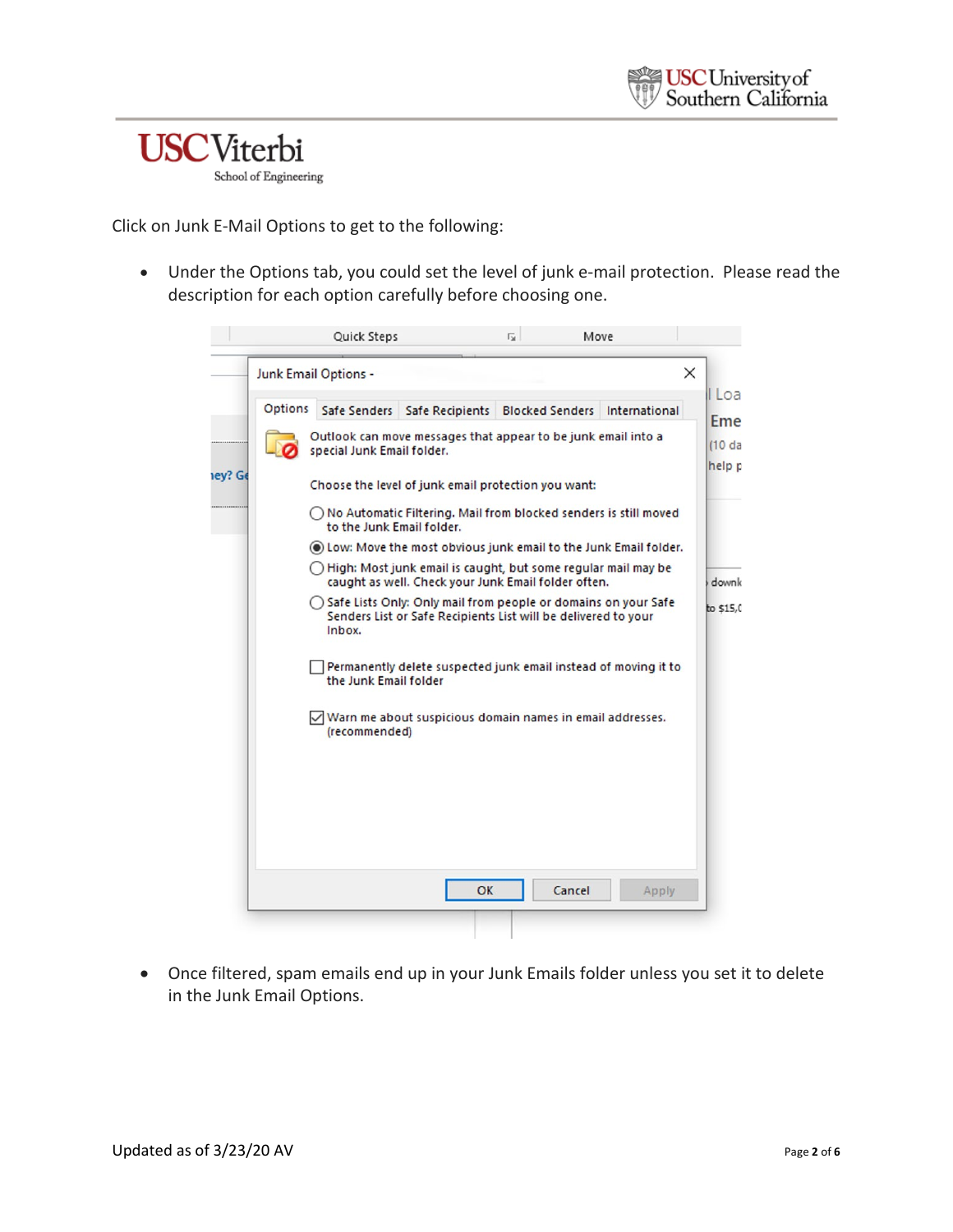

Click on Junk E-Mail Options to get to the following:

• Under the Options tab, you could set the level of junk e-mail protection. Please read the description for each option carefully before choosing one.

|                | Junk Email Options -       |                                                                                                                                    |                        |               |
|----------------|----------------------------|------------------------------------------------------------------------------------------------------------------------------------|------------------------|---------------|
| <b>Options</b> | Safe Senders               | Safe Recipients                                                                                                                    | <b>Blocked Senders</b> | International |
|                | special Junk Email folder. | Outlook can move messages that appear to be junk email into a                                                                      |                        |               |
|                |                            | Choose the level of junk email protection you want:                                                                                |                        |               |
|                | to the Junk Email folder.  | ◯ No Automatic Filtering. Mail from blocked senders is still moved                                                                 |                        |               |
|                |                            | (a) Low: Move the most obvious junk email to the Junk Email folder.                                                                |                        |               |
|                |                            | $\bigcap$ High: Most junk email is caught, but some regular mail may be<br>caught as well. Check your Junk Email folder often.     |                        |               |
|                | Inbox.                     | ◯ Safe Lists Only: Only mail from people or domains on your Safe<br>Senders List or Safe Recipients List will be delivered to your |                        |               |
|                | the Junk Email folder      | Permanently delete suspected junk email instead of moving it to                                                                    |                        |               |
|                | (recommended)              | √ Warn me about suspicious domain names in email addresses.                                                                        |                        |               |
|                |                            |                                                                                                                                    |                        |               |
|                |                            |                                                                                                                                    |                        |               |
|                |                            |                                                                                                                                    |                        |               |
|                |                            | OK                                                                                                                                 | Cancel                 | Apply         |

• Once filtered, spam emails end up in your Junk Emails folder unless you set it to delete in the Junk Email Options.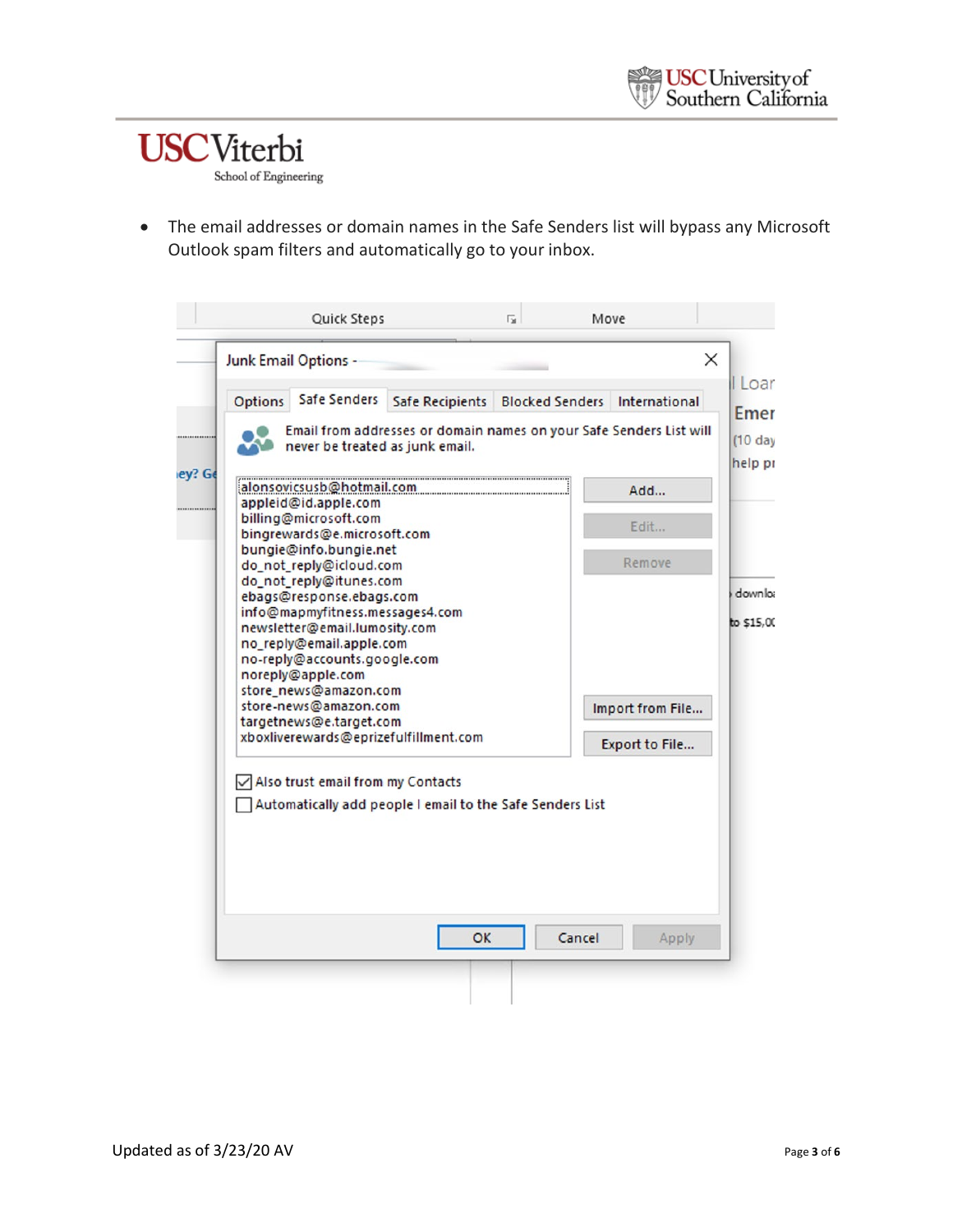## **USC**Viterbi School of Engineering

• The email addresses or domain names in the Safe Senders list will bypass any Microsoft Outlook spam filters and automatically go to your inbox.

|                | Safe Senders                                                                              |                                                           |                        |                                                                     |
|----------------|-------------------------------------------------------------------------------------------|-----------------------------------------------------------|------------------------|---------------------------------------------------------------------|
| <b>Options</b> |                                                                                           | Safe Recipients                                           | <b>Blocked Senders</b> | International                                                       |
|                | never be treated as junk email.                                                           |                                                           |                        | Email from addresses or domain names on your Safe Senders List will |
|                | appleid@id.apple.com                                                                      | alonsovicsusb@hotmail.com                                 |                        | Add                                                                 |
|                | billing@microsoft.com<br>bingrewards@e.microsoft.com                                      |                                                           |                        | Edit                                                                |
|                | bungie@info.bungie.net<br>do_not_reply@icloud.com<br>do_not_reply@itunes.com              |                                                           |                        | Remove                                                              |
|                | ebags@response.ebags.com<br>info@mapmyfitness.messages4.com                               |                                                           |                        |                                                                     |
|                | newsletter@email.lumosity.com<br>no_reply@email.apple.com<br>no-reply@accounts.google.com |                                                           |                        |                                                                     |
|                | noreply@apple.com<br>store_news@amazon.com                                                |                                                           |                        |                                                                     |
|                | store-news@amazon.com<br>targetnews@e.target.com                                          |                                                           |                        | Import from File                                                    |
|                |                                                                                           | xboxliverewards@eprizefulfillment.com                     |                        | Export to File                                                      |
|                | Also trust email from my Contacts                                                         |                                                           |                        |                                                                     |
|                |                                                                                           | Automatically add people I email to the Safe Senders List |                        |                                                                     |
|                |                                                                                           |                                                           |                        |                                                                     |
|                |                                                                                           |                                                           |                        |                                                                     |
|                |                                                                                           |                                                           |                        |                                                                     |
|                |                                                                                           |                                                           |                        |                                                                     |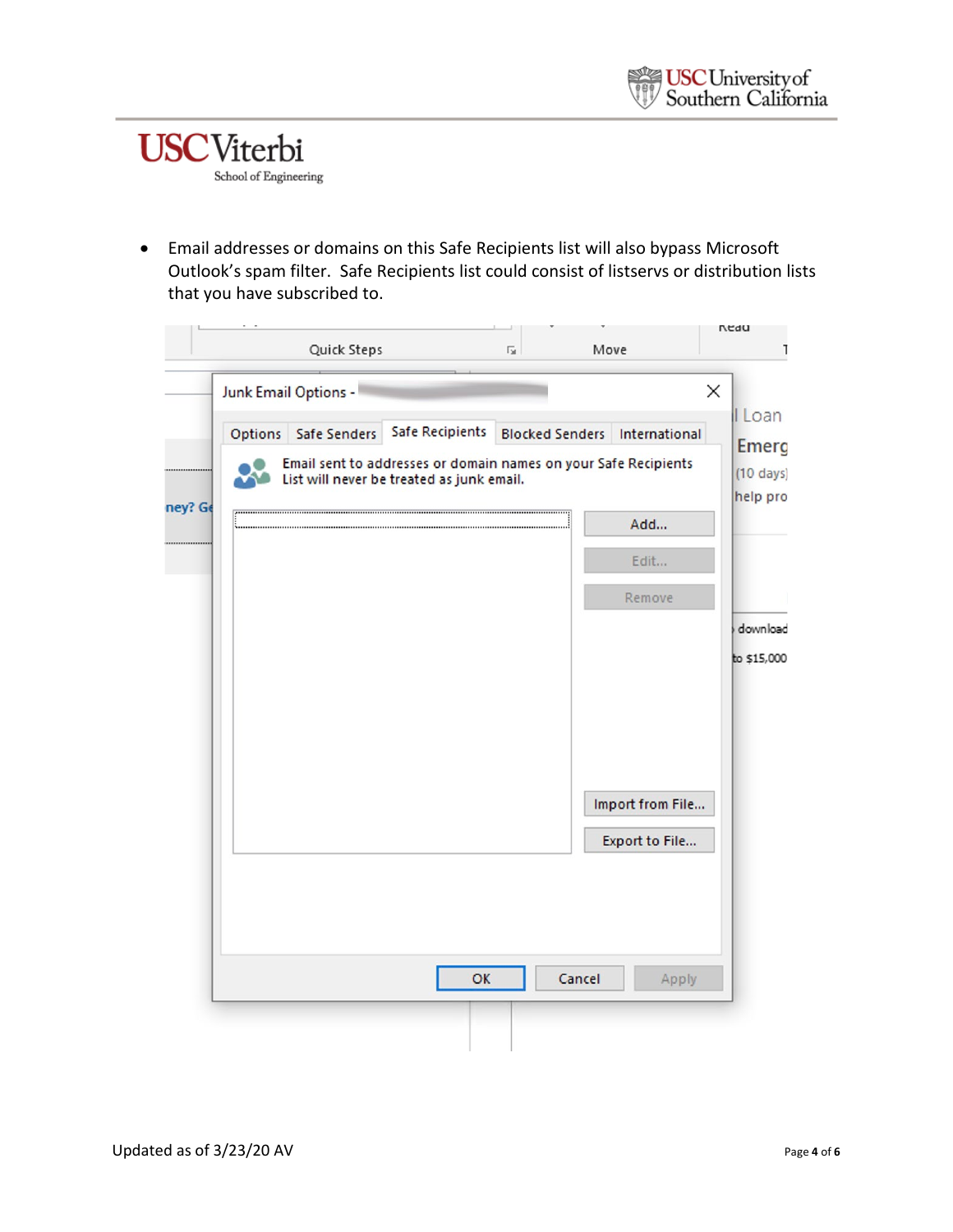

• Email addresses or domains on this Safe Recipients list will also bypass Microsoft Outlook's spam filter. Safe Recipients list could consist of listservs or distribution lists that you have subscribed to.

|         |         | Quick Steps          |                                                                                           | $\overline{\Gamma_{2d}}$ | Move                   |                                    | vean                            |
|---------|---------|----------------------|-------------------------------------------------------------------------------------------|--------------------------|------------------------|------------------------------------|---------------------------------|
|         |         | Junk Email Options - |                                                                                           |                          |                        |                                    | ×                               |
|         | Options | Safe Senders         | <b>Safe Recipients</b><br>Email sent to addresses or domain names on your Safe Recipients |                          | <b>Blocked Senders</b> | International                      | I Loan<br><b>Emerg</b>          |
| ney? Ge |         |                      | List will never be treated as junk email.                                                 |                          |                        |                                    | $(10 \text{ days})$<br>help pro |
|         |         |                      |                                                                                           |                          |                        | Add<br>Edit                        |                                 |
|         |         |                      |                                                                                           |                          |                        | Remove                             |                                 |
|         |         |                      |                                                                                           |                          |                        |                                    | download                        |
|         |         |                      |                                                                                           |                          |                        |                                    | to \$15,000                     |
|         |         |                      |                                                                                           |                          |                        |                                    |                                 |
|         |         |                      |                                                                                           |                          |                        |                                    |                                 |
|         |         |                      |                                                                                           |                          |                        | Import from File<br>Export to File |                                 |
|         |         |                      |                                                                                           |                          |                        |                                    |                                 |
|         |         |                      |                                                                                           |                          |                        |                                    |                                 |
|         |         |                      | OK                                                                                        |                          | Cancel                 | Apply                              |                                 |
|         |         |                      |                                                                                           |                          |                        |                                    |                                 |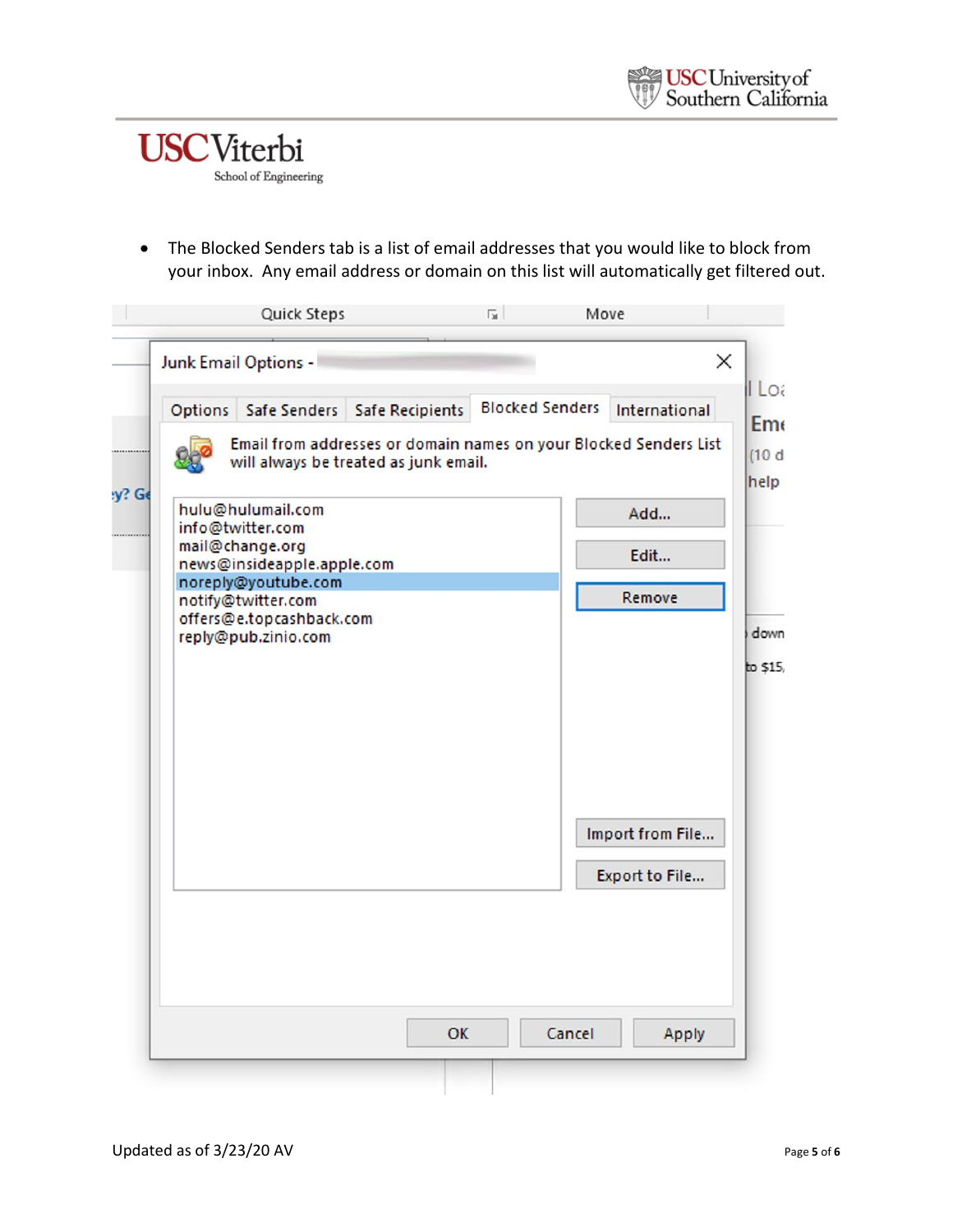

• The Blocked Senders tab is a list of email addresses that you would like to block from your inbox. Any email address or domain on this list will automatically get filtered out.

| <b>Options</b> | Safe Senders                                                          | <b>Safe Recipients</b>                                                                                     | <b>Blocked Senders</b> | International    |
|----------------|-----------------------------------------------------------------------|------------------------------------------------------------------------------------------------------------|------------------------|------------------|
|                |                                                                       | Email from addresses or domain names on your Blocked Senders List<br>will always be treated as junk email. |                        |                  |
|                | hulu@hulumail.com<br>info@twitter.com<br>mail@change.org              |                                                                                                            |                        | Add              |
|                | news@insideapple.apple.com<br>noreply@youtube.com                     |                                                                                                            |                        | Edit             |
|                | notify@twitter.com<br>offers@e.topcashback.com<br>reply@pub.zinio.com |                                                                                                            |                        | Remove           |
|                |                                                                       |                                                                                                            |                        |                  |
|                |                                                                       |                                                                                                            |                        | Import from File |
|                |                                                                       |                                                                                                            |                        | Export to File   |
|                |                                                                       |                                                                                                            |                        |                  |
|                |                                                                       |                                                                                                            |                        |                  |